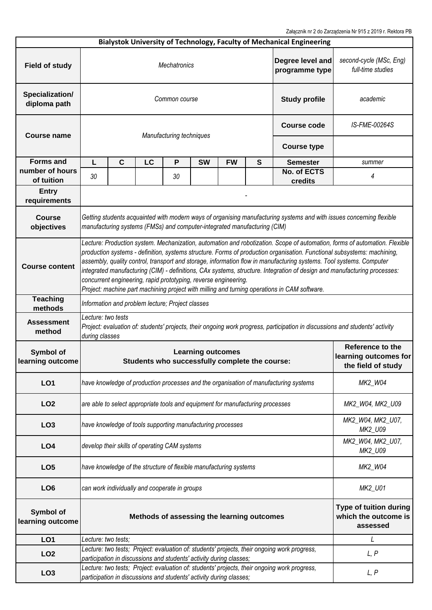Załącznik nr 2 do Zarządzenia Nr 915 z 2019 r. Rektora PB

|                                 |                                                                                                                                                                                                                                                                                                                                                                                                                                                                                                                                                                                                                                                                             |             |                                                  |                          |                                                                                |               |                                                            | Bialystok University of Technology, Faculty of Mechanical Engineering                        |                                                                 |  |  |  |
|---------------------------------|-----------------------------------------------------------------------------------------------------------------------------------------------------------------------------------------------------------------------------------------------------------------------------------------------------------------------------------------------------------------------------------------------------------------------------------------------------------------------------------------------------------------------------------------------------------------------------------------------------------------------------------------------------------------------------|-------------|--------------------------------------------------|--------------------------|--------------------------------------------------------------------------------|---------------|------------------------------------------------------------|----------------------------------------------------------------------------------------------|-----------------------------------------------------------------|--|--|--|
| <b>Field of study</b>           | Degree level and<br><b>Mechatronics</b><br>programme type                                                                                                                                                                                                                                                                                                                                                                                                                                                                                                                                                                                                                   |             |                                                  |                          |                                                                                |               |                                                            | second-cycle (MSc, Eng)<br>full-time studies                                                 |                                                                 |  |  |  |
| Specialization/<br>diploma path | Common course<br><b>Study profile</b>                                                                                                                                                                                                                                                                                                                                                                                                                                                                                                                                                                                                                                       |             |                                                  |                          |                                                                                |               |                                                            | academic                                                                                     |                                                                 |  |  |  |
| Course name                     |                                                                                                                                                                                                                                                                                                                                                                                                                                                                                                                                                                                                                                                                             |             |                                                  | Manufacturing techniques | <b>Course code</b>                                                             | IS-FME-00264S |                                                            |                                                                                              |                                                                 |  |  |  |
|                                 |                                                                                                                                                                                                                                                                                                                                                                                                                                                                                                                                                                                                                                                                             |             |                                                  |                          |                                                                                |               |                                                            | <b>Course type</b>                                                                           |                                                                 |  |  |  |
| <b>Forms and</b>                | L                                                                                                                                                                                                                                                                                                                                                                                                                                                                                                                                                                                                                                                                           | $\mathbf c$ | LC                                               | P                        | <b>SW</b>                                                                      | <b>FW</b>     | S                                                          | <b>Semester</b>                                                                              | summer                                                          |  |  |  |
| number of hours<br>of tuition   | 30                                                                                                                                                                                                                                                                                                                                                                                                                                                                                                                                                                                                                                                                          |             |                                                  | 30                       |                                                                                |               |                                                            | No. of ECTS<br>credits                                                                       | 4                                                               |  |  |  |
| <b>Entry</b><br>requirements    |                                                                                                                                                                                                                                                                                                                                                                                                                                                                                                                                                                                                                                                                             |             |                                                  |                          |                                                                                |               |                                                            |                                                                                              |                                                                 |  |  |  |
| <b>Course</b><br>objectives     | Getting students acquainted with modern ways of organising manufacturing systems and with issues concerning flexible<br>manufacturing systems (FMSs) and computer-integrated manufacturing (CIM)                                                                                                                                                                                                                                                                                                                                                                                                                                                                            |             |                                                  |                          |                                                                                |               |                                                            |                                                                                              |                                                                 |  |  |  |
| <b>Course content</b>           | Lecture: Production system. Mechanization, automation and robotization. Scope of automation, forms of automation. Flexible<br>production systems - definition, systems structure. Forms of production organisation. Functional subsystems: machining,<br>assembly, quality control, transport and storage, information flow in manufacturing systems. Tool systems. Computer<br>integrated manufacturing (CIM) - definitions, CAx systems, structure. Integration of design and manufacturing processes:<br>concurrent engineering, rapid prototyping, reverse engineering.<br>Project: machine part machining project with milling and turning operations in CAM software. |             |                                                  |                          |                                                                                |               |                                                            |                                                                                              |                                                                 |  |  |  |
| <b>Teaching</b><br>methods      |                                                                                                                                                                                                                                                                                                                                                                                                                                                                                                                                                                                                                                                                             |             | Information and problem lecture; Project classes |                          |                                                                                |               |                                                            |                                                                                              |                                                                 |  |  |  |
| <b>Assessment</b><br>method     | Lecture: two tests<br>Project: evaluation of: students' projects, their ongoing work progress, participation in discussions and students' activity<br>during classes                                                                                                                                                                                                                                                                                                                                                                                                                                                                                                        |             |                                                  |                          |                                                                                |               |                                                            |                                                                                              |                                                                 |  |  |  |
| Symbol of<br>learning outcome   |                                                                                                                                                                                                                                                                                                                                                                                                                                                                                                                                                                                                                                                                             |             |                                                  |                          | <b>Learning outcomes</b><br>Students who successfully complete the course:     |               |                                                            |                                                                                              | Reference to the<br>learning outcomes for<br>the field of study |  |  |  |
| LO <sub>1</sub>                 |                                                                                                                                                                                                                                                                                                                                                                                                                                                                                                                                                                                                                                                                             |             |                                                  |                          |                                                                                |               |                                                            | have knowledge of production processes and the organisation of manufacturing systems         | MK2_W04                                                         |  |  |  |
| LO <sub>2</sub>                 |                                                                                                                                                                                                                                                                                                                                                                                                                                                                                                                                                                                                                                                                             |             |                                                  |                          | are able to select appropriate tools and equipment for manufacturing processes |               |                                                            |                                                                                              | MK2_W04, MK2_U09                                                |  |  |  |
| LO <sub>3</sub>                 |                                                                                                                                                                                                                                                                                                                                                                                                                                                                                                                                                                                                                                                                             |             |                                                  |                          | have knowledge of tools supporting manufacturing processes                     |               |                                                            |                                                                                              | MK2_W04, MK2_U07,<br>MK2_U09                                    |  |  |  |
| LO <sub>4</sub>                 |                                                                                                                                                                                                                                                                                                                                                                                                                                                                                                                                                                                                                                                                             |             | develop their skills of operating CAM systems    |                          |                                                                                |               |                                                            |                                                                                              | MK2_W04, MK2_U07,<br>MK2_U09                                    |  |  |  |
| LO <sub>5</sub>                 |                                                                                                                                                                                                                                                                                                                                                                                                                                                                                                                                                                                                                                                                             |             |                                                  |                          | have knowledge of the structure of flexible manufacturing systems              |               |                                                            |                                                                                              | MK2_W04                                                         |  |  |  |
| LO <sub>6</sub>                 | can work individually and cooperate in groups<br>MK2_U01                                                                                                                                                                                                                                                                                                                                                                                                                                                                                                                                                                                                                    |             |                                                  |                          |                                                                                |               |                                                            |                                                                                              |                                                                 |  |  |  |
| Symbol of<br>learning outcome   | Methods of assessing the learning outcomes                                                                                                                                                                                                                                                                                                                                                                                                                                                                                                                                                                                                                                  |             |                                                  |                          |                                                                                |               | Type of tuition during<br>which the outcome is<br>assessed |                                                                                              |                                                                 |  |  |  |
| LO <sub>1</sub>                 | Lecture: two tests;                                                                                                                                                                                                                                                                                                                                                                                                                                                                                                                                                                                                                                                         |             |                                                  |                          |                                                                                |               |                                                            |                                                                                              | L                                                               |  |  |  |
| LO <sub>2</sub>                 |                                                                                                                                                                                                                                                                                                                                                                                                                                                                                                                                                                                                                                                                             |             |                                                  |                          | participation in discussions and students' activity during classes;            |               |                                                            | Lecture: two tests; Project: evaluation of: students' projects, their ongoing work progress, | L, P                                                            |  |  |  |
| LO <sub>3</sub>                 |                                                                                                                                                                                                                                                                                                                                                                                                                                                                                                                                                                                                                                                                             |             |                                                  |                          | participation in discussions and students' activity during classes;            |               |                                                            | Lecture: two tests; Project: evaluation of: students' projects, their ongoing work progress, | L, P                                                            |  |  |  |